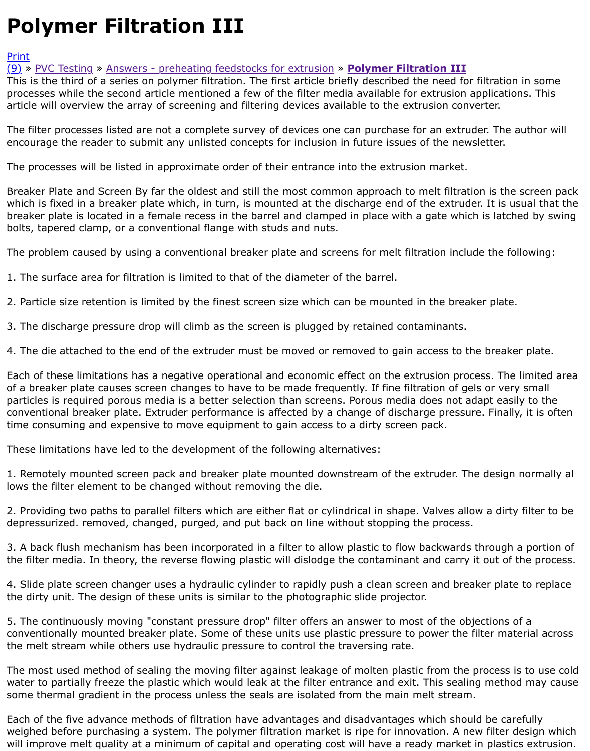article will overview the array of screening and filtering devices available to the extrusion converter.

The filter processes listed are not a complete survey of devices one can purchase for an extruder. The author will encourage the reader to submit any unlisted concepts for inclusion in future issues of the newsletter

[The](http://extrusionwiki.com/wiki/CC%20V12-1-B.ashx#) [p](http://extrusionwiki.com/wiki/Print.aspx?Page=CC%20V12-1-B)[rocesses wil](http://extrusionwiki.com/wiki/CC%20V7-3-B.ashx)l b[e listed in approximate order of their entrance](http://extrusionwiki.com/wiki/CC%20V12-1-A.ashx) in[to the extrusion market.](http://extrusionwiki.com/wiki/CC%20V12-1-B.ashx)

Breaker Plate and Screen By far the oldest and still the most common approach to melt filtration is the screen which is fixed in a breaker plate which, in turn, is mounted at the discharge end of the extruder. It i breaker plate is located in a female recess in the barrel and clamped in place with a gate which is la bolts, tapered clamp, or a conventional flange with studs and nuts.

The problem caused by using a conventional breaker plate and screens for melt filtration include the

1. The surface area for filtration is limited to that of the diameter of the barrel.

2. Particle size retention is limited by the finest screen size which can be mounted in the breaker pla

3. The discharge pressure drop will climb as the screen is plugged by retained contaminants.

4. The die attached to the end of the extruder must be moved or removed to gain access to the bre

Each of these limitations has a negative operational and economic effect on the extrusion process. The limited areas areas areas areas areas areas areas areas areas areas areas areas areas areas areas areas areas areas are of a breaker plate causes screen changes to have to be made frequently. If fine filtration of gels or v particles is required porous media is a better selection than screens. Porous media does not adapt e conventional breaker plate. Extruder performance is affected by a change of discharge pressure. Fir time consuming and expensive to move equipment to gain access to a dirty screen pack.

These limitations have led to the development of the following alternatives:

1. Remotely mounted screen pack and breaker plate mounted downstream of the extruder. The des lows the filter element to be changed without removing the die.

2. Providing two paths to parallel filters which are either flat or cylindrical in shape. Valves allow a d depressurized. removed, changed, purged, and put back on line without stopping the process.

3. A back flush mechanism has been incorporated in a filter to allow plastic to flow backwards throu the filter media. In theory, the reverse flowing plastic will dislodge the contaminant and carry it out

4. Slide plate screen changer uses a hydraulic cylinder to rapidly push a clean screen and breaker p the dirty unit. The design of these units is similar to the photographic slide projector.

5. The continuously moving "constant pressure drop" filter offers an answer to most of the objectior conventionally mounted breaker plate. Some of these units use plastic pressure to power the filter r the melt stream while others use hydraulic pressure to control the traversing rate.

The most used method of sealing the moving filter against leakage of molten plastic from the proce water to partially freeze the plastic which would leak at the filter entrance and exit. This sealing met some thermal gradient in the process unless the seals are isolated from the main melt stream.

Each of the five advance methods of filtration have advantages and disadvantages which should be weighed before purchasing a system. The polymer filtration market is ripe for innovation. A new filte will improve melt quality at a minimum of capital and operating cost will have a ready market in pla